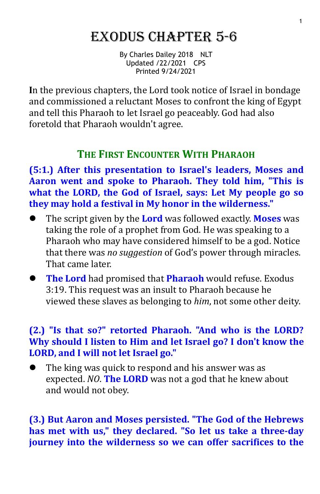# Exodus ChaptEr 5-6

By Charles Dailey 2018 NLT Updated /22/2021 CPS Printed 9/24/2021

**I**n the previous chapters, the Lord took notice of Israel in bondage and commissioned a reluctant Moses to confront the king of Egypt and tell this Pharaoh to let Israel go peaceably. God had also foretold that Pharaoh wouldn't agree.

# **THE FIRST ENCOUNTER WITH PHARAOH**

**(5:1.) After this presentation to Israel's leaders, Moses and Aaron went and spoke to Pharaoh. They told him, "This is what the LORD, the God of Israel, says: Let My people go so they may hold a festival in My honor in the wilderness."**

- The script given by the **Lord** was followed exactly. **Moses** was taking the role of a prophet from God. He was speaking to a Pharaoh who may have considered himself to be a god. Notice that there was *no suggestion* of God's power through miracles. That came later.
- **The Lord** had promised that **Pharaoh** would refuse. Exodus 3:19. This request was an insult to Pharaoh because he viewed these slaves as belonging to *him*, not some other deity.

## **(2.) "Is that so?" retorted Pharaoh. "And who is the LORD? Why should I listen to Him and let Israel go? I don't know the LORD, and I will not let Israel go."**

 The king was quick to respond and his answer was as expected. *NO*. **The LORD** was not a god that he knew about and would not obey.

**(3.) But Aaron and Moses persisted. "The God of the Hebrews has met with us," they declared. "So let us take a three-day journey into the wilderness so we can offer sacrifices to the**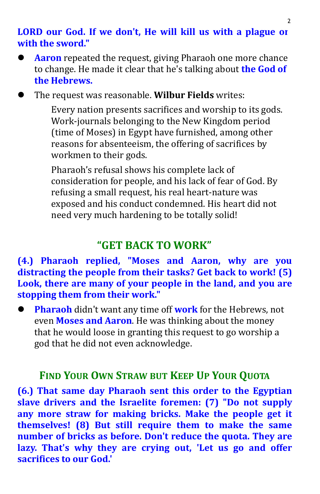#### **LORD our God. If we don't, He will kill us with a plague or with the sword."**

 **Aaron** repeated the request, giving Pharaoh one more chance to change. He made it clear that he's talking about **the God of the Hebrews.**

The request was reasonable. **Wilbur Fields** writes:

Every nation presents sacrifices and worship to its gods. Work-journals belonging to the New Kingdom period (time of Moses) in Egypt have furnished, among other reasons for absenteeism, the offering of sacrifices by workmen to their gods.

Pharaoh's refusal shows his complete lack of consideration for people, and his lack of fear of God.By refusing a small request, his real heart-nature was exposed and his conduct condemned. His heart did not need very much hardening to be totally solid!

# **"GET BACK TO WORK"**

## **(4.) Pharaoh replied, "Moses and Aaron, why are you distracting the people from their tasks? Get back to work! (5) Look, there are many of your people in the land, and you are stopping them from their work."**

**Pharaoh** didn't want any time off **work** for the Hebrews, not even **Moses and Aaron**. He was thinking about the money that he would loose in granting this request to go worship a god that he did not even acknowledge.

## **FIND YOUR OWN STRAW BUT KEEP UP YOUR QUOTA**

**(6.) That same day Pharaoh sent this order to the Egyptian slave drivers and the Israelite foremen: (7) "Do not supply any more straw for making bricks. Make the people get it themselves! (8) But still require them to make the same number of bricks as before. Don't reduce the quota. They are lazy. That's why they are crying out,'Let us go and offer sacrifices to our God.'**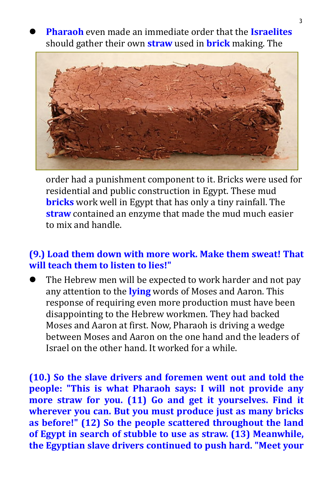**Pharaoh** even made an immediate order that the **Israelites** should gather their own **straw** used in **brick** making. The



order had a punishment component to it. Bricks were used for residential and public construction in Egypt. These mud **bricks** work well in Egypt that has only a tiny rainfall.The **straw** contained an enzyme that made the mud much easier to mix and handle.

### **(9.) Load them down with more work. Make them sweat! That will teach them to listen to lies!"**

 The Hebrew men will be expected to work harder and not pay any attention to the **lying** words of Moses and Aaron. This response of requiring even more production must have been disappointing to the Hebrew workmen. They had backed Moses and Aaron at first. Now, Pharaoh is driving a wedge between Moses and Aaron on the one hand and the leaders of Israel on the other hand.It worked for a while.

**(10.) So the slave drivers and foremen went out and told the people: "This is what Pharaoh says: I will not provide any more straw for you. (11) Go and get it yourselves. Find it wherever you can. But you must produce just as many bricks as before!" (12) So the people scattered throughout the land of Egypt in search of stubble to use as straw. (13) Meanwhile, the Egyptian slave drivers continued to push hard. "Meet your**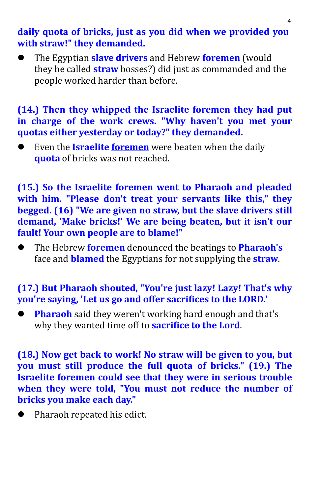#### **daily quota of bricks, just as you did when we provided you with straw!" they demanded.**

 The Egyptian **slave drivers** and Hebrew **foremen** (would they be called **straw** bosses?) did just as commanded and the people worked harder than before.

#### **(14.) Then they whipped the Israelite foremen they had put in charge of the work crews. "Why haven't you met your quotas either yesterday or today?" they demanded.**

 Even the **Israelite foremen** were beaten when the daily **quota** of bricks was not reached.

**(15.) So the Israelite foremen went to Pharaoh and pleaded with him. "Please don't treat your servants like this," they begged. (16) "We are given no straw, but the slave drivers still demand, 'Make bricks!' We are being beaten, but it isn't our fault! Your own people are to blame!"**

 The Hebrew **foremen** denounced the beatings to **Pharaoh's** face and **blamed** the Egyptians for not supplying the **straw**.

# **(17.) But Pharaoh shouted, "You're just lazy! Lazy! That's why you're saying, 'Let us go and offer sacrifices to the LORD.'**

 **Pharaoh** said they weren't working hard enough and that's why they wanted time off to **sacrifice to the Lord**.

**(18.) Now get back to work! No straw will be given to you, but you must still produce the full quota of bricks." (19.) The Israelite foremen could see that they were in serious trouble when they were told, "You must not reduce the number of bricks you make each day."**

• Pharaoh repeated his edict.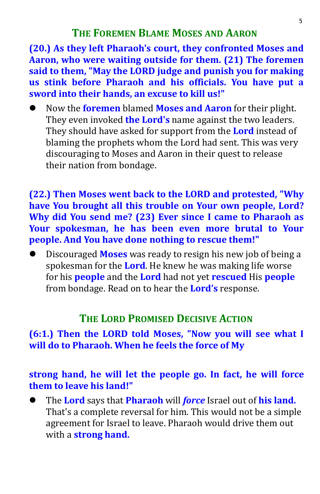**(20.) As they left Pharaoh's court, they confronted Moses and Aaron, who were waiting outside for them. (21) The foremen said to them, "May the LORD judge and punish you for making us stink before Pharaoh and his officials. You have put a sword into their hands, an excuse to kill us!"**

 Now the **foremen** blamed **Moses and Aaron** for their plight. They should have asked for support from the **Lord** instead of blaming the prophets whom the Lord had sent. This was very discouraging to Moses and Aaron in their quest to release their nation from bondage.

**(22.) Then Moses went back to the LORD and protested, "Why have You brought allthis trouble on Your own people, Lord? Why did You send me? (23) Ever since I came to Pharaoh as Your spokesman, he has been even more brutal to Your people. And You have done nothing to rescue them!"**

 Discouraged **Moses** was ready to resign his new job of being a spokesman for the **Lord**. He knew he was making life worse for his **people** and the **Lord** had not yet**rescued** His **people** from bondage. Read on to hear the **Lord's** response.

# **THE LORD PROMISED DECISIVE ACTION**

# **(6:1.) Then the LORD told Moses, "Now you will see what I will do to Pharaoh. When he feels the force of My**

## **strong hand, he will let the people go. In fact, he will force them to leave his land!"**

 The **Lord** says that **Pharaoh** will *force* Israel out of **his land.** That's a complete reversal for him. This would not be a simple agreement for Israel to leave. Pharaoh would drive them out with a **strong hand.**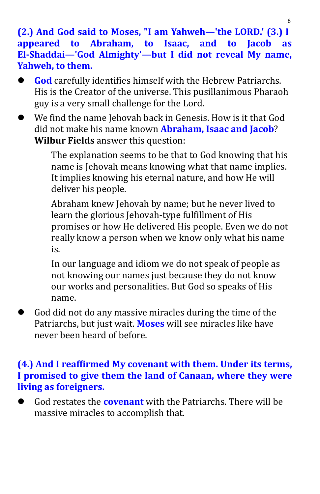**(2.) And God said to Moses, "I am Yahweh—'the LORD.' (3.) I appeared to Abraham, to Isaac, and to Jacob as El-Shaddai—'God Almighty'—but I did not reveal My name, Yahweh, to them.**

- **God** carefully identifies himself with the Hebrew Patriarchs. His is the Creator of the universe. This pusillanimous Pharaoh guy is a very small challenge for the Lord.
- We find the name Jehovah back in Genesis. How is it that God did not make his name known **Abraham, Isaac and Jacob**? **Wilbur Fields** answer this question:

The explanation seems to be that to God knowing that his name is Jehovah means knowing what that name implies. It implies knowing his eternal nature, and how He will deliver his people.

Abraham knew Jehovah by name; but he never lived to learn the glorious Jehovah-type fulfillment of His promises or how He delivered His people. Even we do not really know a person when we know only what his name is.

In our language and idiom we do not speak of people as not knowing our names just because they do not know our works and personalities. But God so speaks of His name.

 God did not do any massive miracles during the time of the Patriarchs, but just wait. **Moses** will see miracles like have never been heard of before.

# **(4.) And I reaffirmed My covenant with them. Under its terms, I promised to give them the land of Canaan, where they were living asforeigners.**

 God restates the **covenant** with the Patriarchs. There will be massive miracles to accomplish that.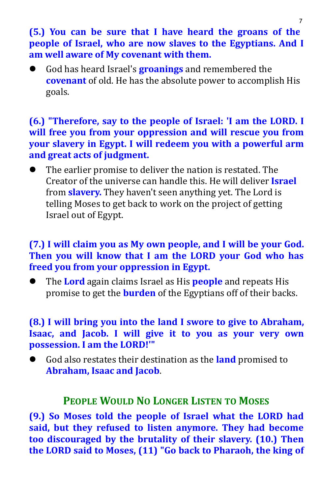**(5.) You can be sure that I have heard the groans of the people of Israel, who are now slaves to the Egyptians. And I am well aware of My covenant with them.**

 God has heard Israel's **groanings** and remembered the **covenant** of old. He has the absolute power to accomplish His goals.

**(6.) "Therefore, say to the people of Israel: 'I am the LORD. I will free you from your oppression and will rescue you from your slavery in Egypt. I will redeem you with a powerful arm and great acts of judgment.**

 The earlier promise to deliver the nation is restated. The Creator of the universe can handle this. He will deliver **Israel** from **slavery.** They haven't seen anything yet. The Lord is telling Moses to get back to work on the project of getting Israel out of Egypt.

#### **(7.) I will claim you as My own people, and I will be your God. Then you will know that I am the LORD your God who has freed you from your oppression in Egypt.**

 The **Lord** again claims Israel as His **people** and repeats His promise to get the **burden** of the Egyptians off of their backs.

## **(8.) I will bring you into the land I swore to give to Abraham, Isaac, and Jacob. I will give it to you as your very own possession. I am the LORD!'"**

 God also restates their destination as the **land** promised to **Abraham, Isaac and Jacob**.

#### **PEOPLE WOULD NO LONGER LISTEN TO MOSES**

**(9.) So Moses told the people of Israel what the LORD had said, but they refused to listen anymore. They had become too discouraged by the brutality of their slavery. (10.) Then the LORD said to Moses, (11) "Go back to Pharaoh, the king of**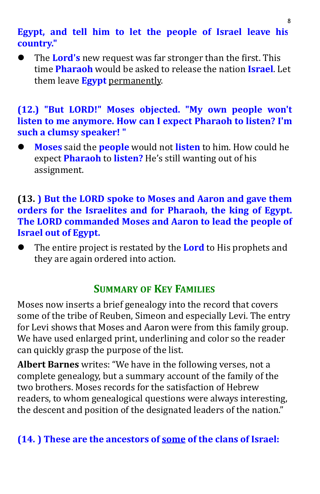# **Egypt, and tell him to let the people of Israel leave his country."**

 The **Lord's** new request was far stronger than the first. This time **Pharaoh** would beasked to release the nation **Israel**. Let them leave **Egypt** permanently.

#### **(12.) "But LORD!" Moses objected. "My own people won't listen to me anymore. How can I expect Pharaoh to listen? I'm such a clumsy speaker! "**

 **Moses** said the **people** would not **listen** to him. How could he expect **Pharaoh** to **listen?** He's still wanting out of his assignment.

#### **(13. ) But the LORD spoke to Moses and Aaron and gave them orders for the Israelites and for Pharaoh, the king of Egypt. The LORD commanded Moses and Aaron to lead the people of Israel out of Egypt.**

 The entire project is restated by the **Lord** to His prophets and they are again ordered into action.

# **SUMMARY OF KEY FAMILIES**

Moses now inserts a brief genealogy into the record that covers some of the tribe of Reuben, Simeon and especially Levi. The entry for Levi shows that Moses and Aaron were from this family group. We have used enlarged print, underlining and color so the reader can quickly grasp the purpose of the list.

**Albert Barnes** writes: "We have in the following verses, not a complete genealogy, but a summary account of the family of the two brothers. Moses records for the satisfaction of Hebrew readers, to whom genealogical questions were always interesting, the descent and position of the designated leaders of the nation."

# **(14. ) These are the ancestors of some of the clans of Israel:**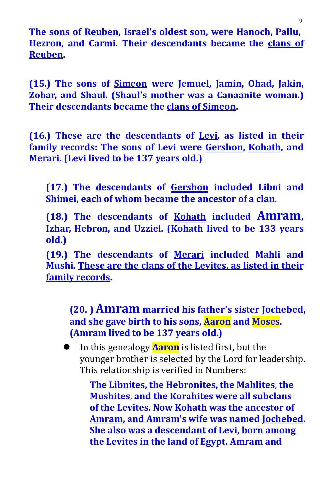**The sons of Reuben, Israel's oldest son, were Hanoch, Pallu, Hezron, and Carmi. Their descendants became the clans of Reuben.**

**(15.) The sons ofSimeon were Jemuel, Jamin, Ohad, Jakin, Zohar, and Shaul. (Shaul's mother was a Canaanite woman.) Their descendants became the clans of Simeon.**

**(16.) These are the descendants of Levi, as listed in their family records: The sons of Levi were Gershon, Kohath, and Merari. (Levi lived to be 137 years old.)**

**(17.) The descendants of Gershon included Libni and Shimei, each of whom became the ancestor of a clan.**

**(18.) The descendants of Kohath included Amram, Izhar, Hebron, and Uzziel. (Kohath lived to be 133 years old.)**

**(19.) The descendants of Merari included Mahli and Mushi. These are the clans of the Levites, as listed in their family records.**

**(20. ) Amram married his father's sister Jochebed, and she gave birth to his sons, Aaron and Moses. (Amram lived to be 137 years old.)**

**I** In this genealogy **Aaron** is listed first, but the younger brother is selected by the Lord for leadership. This relationship is verified in Numbers:

> **The Libnites, the Hebronites, the Mahlites, the Mushites, and the Korahites were all subclans of the Levites. Now Kohath was the ancestor of Amram, and Amram's wife was named Jochebed. She also was a descendant of Levi, born among the Levites in the land of Egypt. Amram and**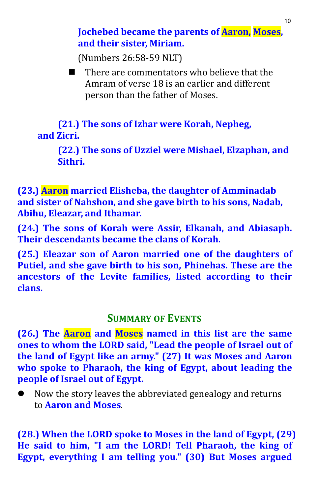**Jochebed became the parents of Aaron, Moses, and their sister, Miriam.**

(Numbers 26:58-59 NLT)

 $\blacksquare$  There are commentators who believe that the Amram of verse 18 is an earlier and different person than the father of Moses.

**(21.) The sons of Izhar were Korah, Nepheg, and Zicri.**

**(22.) The sons of Uzziel were Mishael, Elzaphan, and Sithri.**

**(23.) Aaron married Elisheba, the daughter of Amminadab and sister of Nahshon, and she gave birth to his sons, Nadab, Abihu, Eleazar, and Ithamar.**

**(24.) The sons of Korah were Assir, Elkanah, and Abiasaph. Their descendants became the clans of Korah.**

**(25.) Eleazar son of Aaron married one of the daughters of Putiel, and she gave birth to his son, Phinehas. These are the ancestors of the Levite families, listed according to their clans.**

## **SUMMARY OF EVENTS**

**(26.) The Aaron and Moses named in this list are the same ones to whom the LORD said, "Lead the people of Israel out of the land of Egypt like an army." (27) It was Moses and Aaron who spoke to Pharaoh, the king of Egypt, about leading the people of Israel out of Egypt.**

 Now the story leaves the abbreviated genealogy and returns to **Aaron and Moses**.

**(28.) When the LORD spoke to Moses in the land of Egypt, (29) He said to him, "I am the LORD! Tell Pharaoh, the king of Egypt, everything I am telling you." (30) But Moses argued**